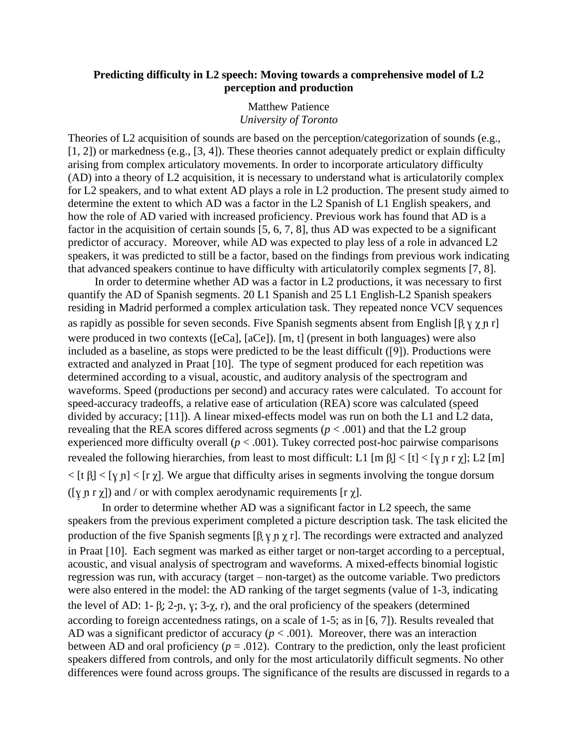## **Predicting difficulty in L2 speech: Moving towards a comprehensive model of L2 perception and production**

## Matthew Patience *University of Toronto*

Theories of L2 acquisition of sounds are based on the perception/categorization of sounds (e.g., [1, 2]) or markedness (e.g., [3, 4]). These theories cannot adequately predict or explain difficulty arising from complex articulatory movements. In order to incorporate articulatory difficulty (AD) into a theory of L2 acquisition, it is necessary to understand what is articulatorily complex for L2 speakers, and to what extent AD plays a role in L2 production. The present study aimed to determine the extent to which AD was a factor in the L2 Spanish of L1 English speakers, and how the role of AD varied with increased proficiency. Previous work has found that AD is a factor in the acquisition of certain sounds [5, 6, 7, 8], thus AD was expected to be a significant predictor of accuracy. Moreover, while AD was expected to play less of a role in advanced L2 speakers, it was predicted to still be a factor, based on the findings from previous work indicating that advanced speakers continue to have difficulty with articulatorily complex segments [7, 8].

In order to determine whether AD was a factor in L2 productions, it was necessary to first quantify the AD of Spanish segments. 20 L1 Spanish and 25 L1 English-L2 Spanish speakers residing in Madrid performed a complex articulation task. They repeated nonce VCV sequences as rapidly as possible for seven seconds. Five Spanish segments absent from English [β  $\gamma \gamma$  n r] were produced in two contexts ([eCa], [aCe]). [m, t] (present in both languages) were also included as a baseline, as stops were predicted to be the least difficult ([9]). Productions were extracted and analyzed in Praat [10]. The type of segment produced for each repetition was determined according to a visual, acoustic, and auditory analysis of the spectrogram and waveforms. Speed (productions per second) and accuracy rates were calculated. To account for speed-accuracy tradeoffs, a relative ease of articulation (REA) score was calculated (speed divided by accuracy; [11]). A linear mixed-effects model was run on both the L1 and L2 data, revealing that the REA scores differed across segments ( $p < .001$ ) and that the L2 group experienced more difficulty overall  $(p < .001)$ . Tukey corrected post-hoc pairwise comparisons revealed the following hierarchies, from least to most difficult: L1 [m  $\beta$ ] < [t] < [y n r y]; L2 [m]  $\langle$  [t  $\beta$ ]  $\langle$  [y n]  $\langle$  [r  $\gamma$ ]. We argue that difficulty arises in segments involving the tongue dorsum ([ $\gamma$  n r  $\gamma$ ]) and / or with complex aerodynamic requirements [r  $\gamma$ ].

In order to determine whether AD was a significant factor in L2 speech, the same speakers from the previous experiment completed a picture description task. The task elicited the production of the five Spanish segments  $[\beta, \gamma, \gamma, \gamma]$ . The recordings were extracted and analyzed in Praat [10]. Each segment was marked as either target or non-target according to a perceptual, acoustic, and visual analysis of spectrogram and waveforms. A mixed-effects binomial logistic regression was run, with accuracy (target – non-target) as the outcome variable. Two predictors were also entered in the model: the AD ranking of the target segments (value of 1-3, indicating the level of AD: 1- β; 2-n, y; 3- $\chi$ , r), and the oral proficiency of the speakers (determined according to foreign accentedness ratings, on a scale of 1-5; as in [6, 7]). Results revealed that AD was a significant predictor of accuracy ( $p < .001$ ). Moreover, there was an interaction between AD and oral proficiency  $(p = .012)$ . Contrary to the prediction, only the least proficient speakers differed from controls, and only for the most articulatorily difficult segments. No other differences were found across groups. The significance of the results are discussed in regards to a